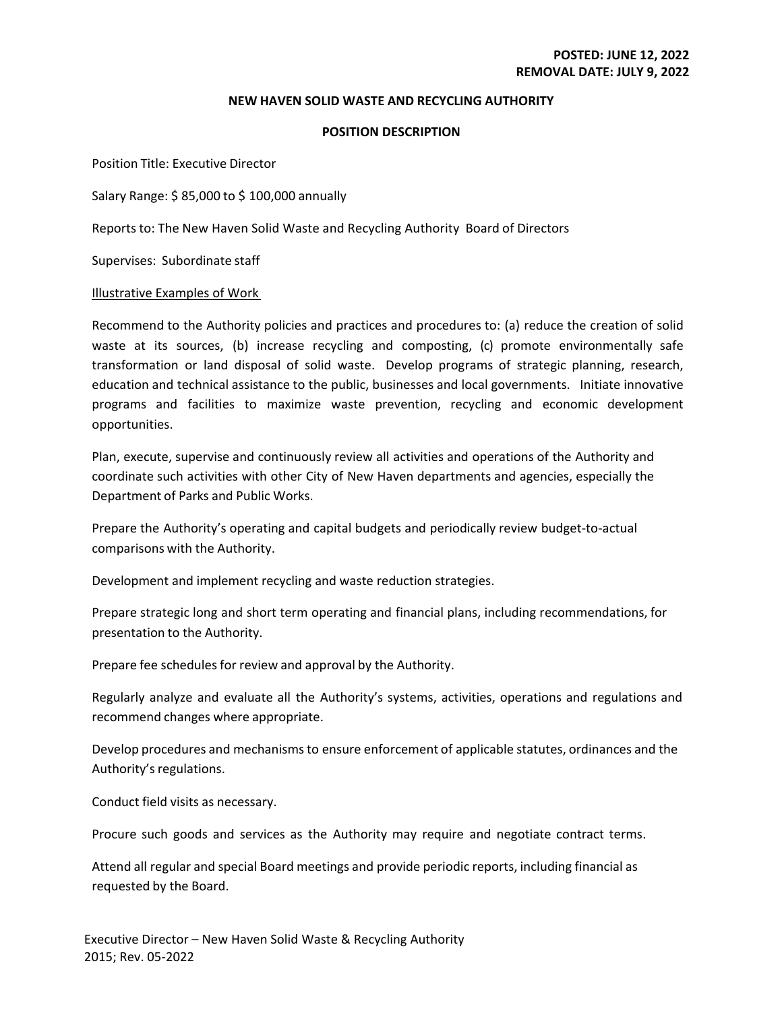### **NEW HAVEN SOLID WASTE AND RECYCLING AUTHORITY**

### **POSITION DESCRIPTION**

Position Title: Executive Director

Salary Range: \$ 85,000 to \$ 100,000 annually

Reports to: The New Haven Solid Waste and Recycling Authority Board of Directors

Supervises: Subordinate staff

### Illustrative Examples of Work

Recommend to the Authority policies and practices and procedures to: (a) reduce the creation of solid waste at its sources, (b) increase recycling and composting, (c) promote environmentally safe transformation or land disposal of solid waste. Develop programs of strategic planning, research, education and technical assistance to the public, businesses and local governments. Initiate innovative programs and facilities to maximize waste prevention, recycling and economic development opportunities.

Plan, execute, supervise and continuously review all activities and operations of the Authority and coordinate such activities with other City of New Haven departments and agencies, especially the Department of Parks and Public Works.

Prepare the Authority's operating and capital budgets and periodically review budget‐to‐actual comparisons with the Authority.

Development and implement recycling and waste reduction strategies.

Prepare strategic long and short term operating and financial plans, including recommendations, for presentation to the Authority.

Prepare fee schedules for review and approval by the Authority.

Regularly analyze and evaluate all the Authority's systems, activities, operations and regulations and recommend changes where appropriate.

Develop procedures and mechanismsto ensure enforcement of applicable statutes, ordinances and the Authority's regulations.

Conduct field visits as necessary.

Procure such goods and services as the Authority may require and negotiate contract terms.

Attend all regular and special Board meetings and provide periodic reports, including financial as requested by the Board.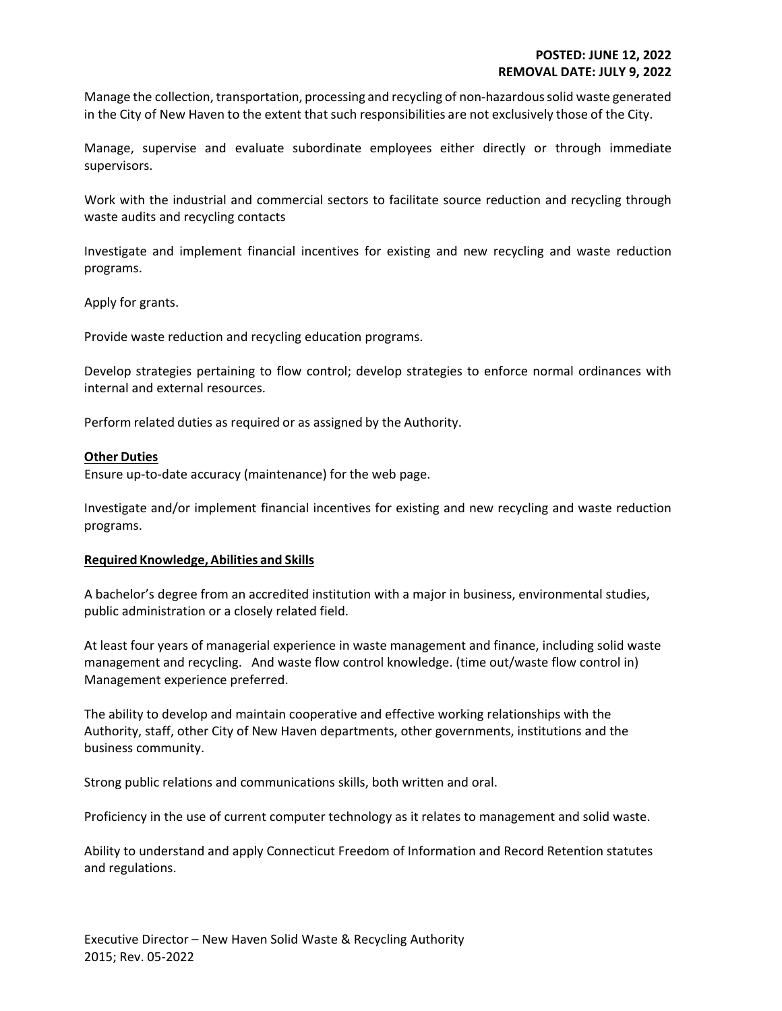Manage the collection, transportation, processing and recycling of non‐hazardoussolid waste generated in the City of New Haven to the extent that such responsibilities are not exclusively those of the City.

Manage, supervise and evaluate subordinate employees either directly or through immediate supervisors.

Work with the industrial and commercial sectors to facilitate source reduction and recycling through waste audits and recycling contacts

Investigate and implement financial incentives for existing and new recycling and waste reduction programs.

Apply for grants.

Provide waste reduction and recycling education programs.

Develop strategies pertaining to flow control; develop strategies to enforce normal ordinances with internal and external resources.

Perform related duties as required or as assigned by the Authority.

## **Other Duties**

Ensure up‐to‐date accuracy (maintenance) for the web page.

Investigate and/or implement financial incentives for existing and new recycling and waste reduction programs.

## **Required Knowledge, Abilities and Skills**

A bachelor's degree from an accredited institution with a major in business, environmental studies, public administration or a closely related field.

At least four years of managerial experience in waste management and finance, including solid waste management and recycling. And waste flow control knowledge. (time out/waste flow control in) Management experience preferred.

The ability to develop and maintain cooperative and effective working relationships with the Authority, staff, other City of New Haven departments, other governments, institutions and the business community.

Strong public relations and communications skills, both written and oral.

Proficiency in the use of current computer technology as it relates to management and solid waste.

Ability to understand and apply Connecticut Freedom of Information and Record Retention statutes and regulations.